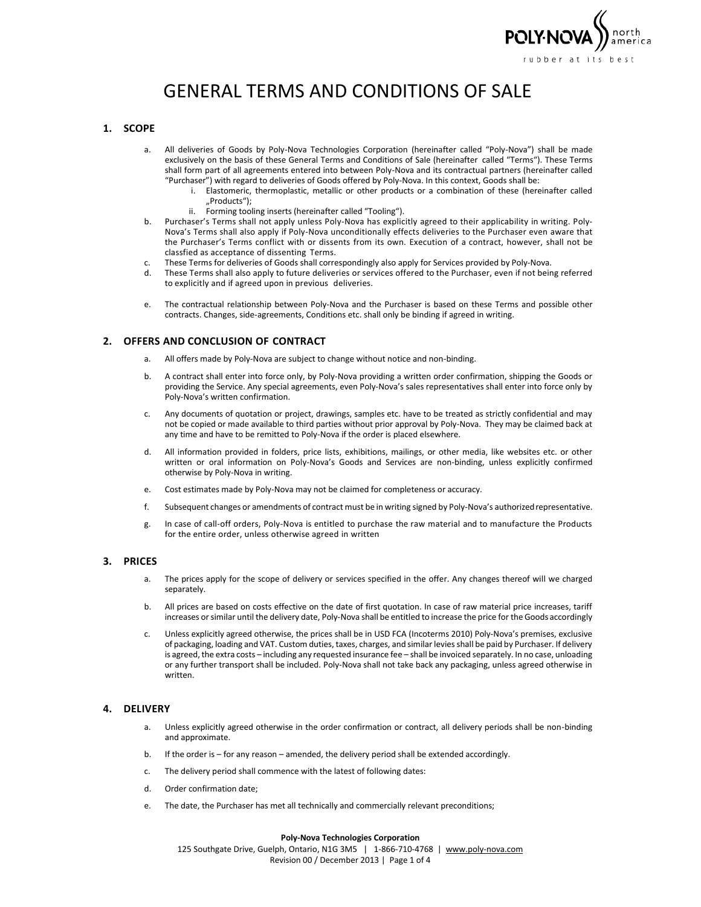

# GENERAL TERMS AND CONDITIONS OF SALE

## **1. SCOPE**

- a. All deliveries of Goods by Poly-Nova Technologies Corporation (hereinafter called "Poly-Nova") shall be made exclusively on the basis of these General Terms and Conditions of Sale (hereinafter called "Terms"). These Terms shall form part of all agreements entered into between Poly-Nova and its contractual partners (hereinafter called "Purchaser") with regard to deliveries of Goods offered by Poly-Nova. In this context, Goods shall be:
	- i. Elastomeric, thermoplastic, metallic or other products or a combination of these (hereinafter called "Products");
	- ii. Forming tooling inserts (hereinafter called "Tooling").
- b. Purchaser's Terms shall not apply unless Poly-Nova has explicitly agreed to their applicability in writing. Poly-Nova's Terms shall also apply if Poly-Nova unconditionally effects deliveries to the Purchaser even aware that the Purchaser's Terms conflict with or dissents from its own. Execution of a contract, however, shall not be classfied as acceptance of dissenting Terms.
- c. These Terms for deliveries of Goods shall correspondingly also apply for Services provided by Poly-Nova.
- d. These Terms shall also apply to future deliveries or services offered to the Purchaser, even if not being referred to explicitly and if agreed upon in previous deliveries.
- e. The contractual relationship between Poly-Nova and the Purchaser is based on these Terms and possible other contracts. Changes, side-agreements, Conditions etc. shall only be binding if agreed in writing.

# **2. OFFERS AND CONCLUSION OF CONTRACT**

- a. All offers made by Poly-Nova are subject to change without notice and non-binding.
- b. A contract shall enter into force only, by Poly-Nova providing a written order confirmation, shipping the Goods or providing the Service. Any special agreements, even Poly-Nova's sales representatives shall enter into force only by Poly-Nova's written confirmation.
- c. Any documents of quotation or project, drawings, samples etc. have to be treated as strictly confidential and may not be copied or made available to third parties without prior approval by Poly-Nova. They may be claimed back at any time and have to be remitted to Poly-Nova if the order is placed elsewhere.
- d. All information provided in folders, price lists, exhibitions, mailings, or other media, like websites etc. or other written or oral information on Poly-Nova's Goods and Services are non-binding, unless explicitly confirmed otherwise by Poly-Nova in writing.
- e. Cost estimates made by Poly-Nova may not be claimed for completeness or accuracy.
- f. Subsequent changes or amendments of contract must be in writing signed by Poly-Nova's authorizedrepresentative.
- g. In case of call-off orders, Poly-Nova is entitled to purchase the raw material and to manufacture the Products for the entire order, unless otherwise agreed in written

#### **3. PRICES**

- a. The prices apply for the scope of delivery or services specified in the offer. Any changes thereof will we charged separately.
- b. All prices are based on costs effective on the date of first quotation. In case of raw material price increases, tariff increases or similar until the delivery date, Poly-Nova shall be entitled to increase the price for the Goods accordingly
- c. Unless explicitly agreed otherwise, the prices shall be in USD FCA (Incoterms 2010) Poly-Nova's premises, exclusive of packaging, loading and VAT. Custom duties, taxes, charges, and similar levies shall be paid by Purchaser. If delivery is agreed, the extra costs – including any requested insurance fee – shall be invoiced separately. In no case, unloading or any further transport shall be included. Poly-Nova shall not take back any packaging, unless agreed otherwise in written.

#### **4. DELIVERY**

- a. Unless explicitly agreed otherwise in the order confirmation or contract, all delivery periods shall be non-binding and approximate.
- b. If the order is for any reason amended, the delivery period shall be extended accordingly.
- c. The delivery period shall commence with the latest of following dates:
- d. Order confirmation date;
- e. The date, the Purchaser has met all technically and commercially relevant preconditions;

#### **Poly-Nova Technologies Corporation**

125 Southgate Drive, Guelph, Ontario, N1G 3M5 | 1-866-710-4768 | [www.poly-nova.com](http://www.poly-nova.com/) Revision 00 / December 2013 | Page 1 of 4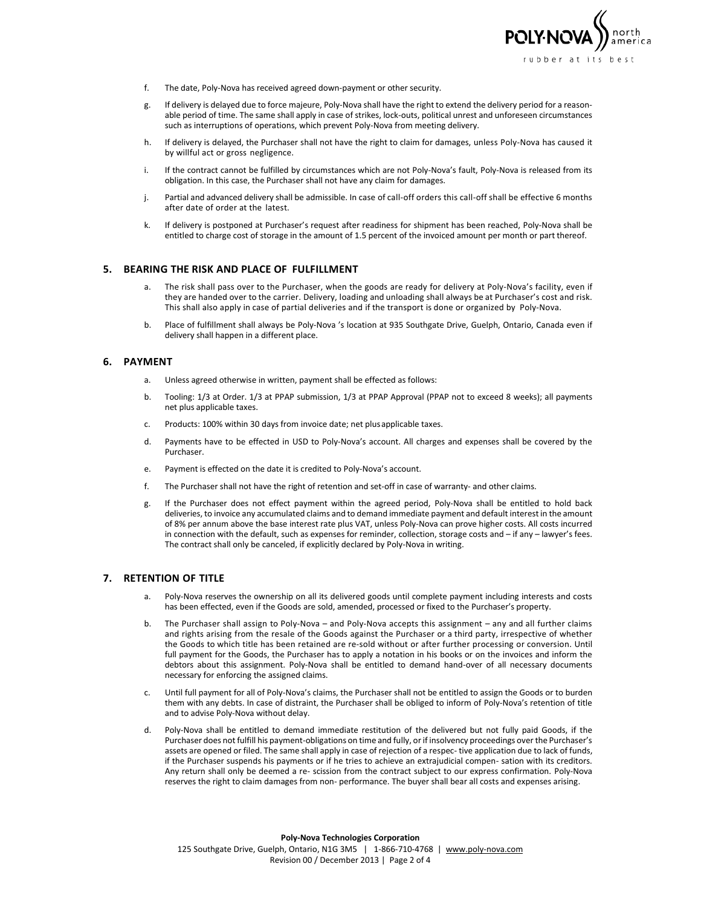

- f. The date, Poly-Nova has received agreed down-payment or other security.
- g. If delivery is delayed due to force majeure, Poly-Nova shall have the right to extend the delivery period for a reasonable period of time. The same shall apply in case of strikes, lock-outs, political unrest and unforeseen circumstances such as interruptions of operations, which prevent Poly-Nova from meeting delivery.
- h. If delivery is delayed, the Purchaser shall not have the right to claim for damages, unless Poly-Nova has caused it by willful act or gross negligence.
- i. If the contract cannot be fulfilled by circumstances which are not Poly-Nova's fault, Poly-Nova is released from its obligation. In this case, the Purchaser shall not have any claim for damages.
- j. Partial and advanced delivery shall be admissible. In case of call-off orders this call-off shall be effective 6 months after date of order at the latest.
- k. If delivery is postponed at Purchaser's request after readiness for shipment has been reached, Poly-Nova shall be entitled to charge cost of storage in the amount of 1.5 percent of the invoiced amount per month or part thereof.

#### **5. BEARING THE RISK AND PLACE OF FULFILLMENT**

- a. The risk shall pass over to the Purchaser, when the goods are ready for delivery at Poly-Nova's facility, even if they are handed over to the carrier. Delivery, loading and unloading shall always be at Purchaser's cost and risk. This shall also apply in case of partial deliveries and if the transport is done or organized by Poly-Nova.
- b. Place of fulfillment shall always be Poly-Nova 's location at 935 Southgate Drive, Guelph, Ontario, Canada even if delivery shall happen in a different place.

#### **6. PAYMENT**

- a. Unless agreed otherwise in written, payment shall be effected as follows:
- b. Tooling: 1/3 at Order. 1/3 at PPAP submission, 1/3 at PPAP Approval (PPAP not to exceed 8 weeks); all payments net plus applicable taxes.
- c. Products: 100% within 30 days from invoice date; net plusapplicable taxes.
- d. Payments have to be effected in USD to Poly-Nova's account. All charges and expenses shall be covered by the Purchaser.
- e. Payment is effected on the date it is credited to Poly-Nova's account.
- f. The Purchaser shall not have the right of retention and set-off in case of warranty- and other claims.
- g. If the Purchaser does not effect payment within the agreed period, Poly-Nova shall be entitled to hold back deliveries, to invoice any accumulated claims and to demand immediate payment and default interest in the amount of 8% per annum above the base interest rate plus VAT, unless Poly-Nova can prove higher costs. All costs incurred in connection with the default, such as expenses for reminder, collection, storage costs and – if any – lawyer's fees. The contract shall only be canceled, if explicitly declared by Poly-Nova in writing.

# **7. RETENTION OF TITLE**

- a. Poly-Nova reserves the ownership on all its delivered goods until complete payment including interests and costs has been effected, even if the Goods are sold, amended, processed or fixed to the Purchaser's property.
- b. The Purchaser shall assign to Poly-Nova and Poly-Nova accepts this assignment any and all further claims and rights arising from the resale of the Goods against the Purchaser or a third party, irrespective of whether the Goods to which title has been retained are re-sold without or after further processing or conversion. Until full payment for the Goods, the Purchaser has to apply a notation in his books or on the invoices and inform the debtors about this assignment. Poly-Nova shall be entitled to demand hand-over of all necessary documents necessary for enforcing the assigned claims.
- c. Until full payment for all of Poly-Nova's claims, the Purchaser shall not be entitled to assign the Goods or to burden them with any debts. In case of distraint, the Purchaser shall be obliged to inform of Poly-Nova's retention of title and to advise Poly-Nova without delay.
- d. Poly-Nova shall be entitled to demand immediate restitution of the delivered but not fully paid Goods, if the Purchaser does not fulfill his payment-obligations on time and fully, or if insolvency proceedings over the Purchaser's assets are opened or filed. The same shall apply in case of rejection of a respec- tive application due to lack of funds, if the Purchaser suspends his payments or if he tries to achieve an extrajudicial compen- sation with its creditors. Any return shall only be deemed a re- scission from the contract subject to our express confirmation. Poly-Nova reserves the right to claim damages from non- performance. The buyer shall bear all costs and expenses arising.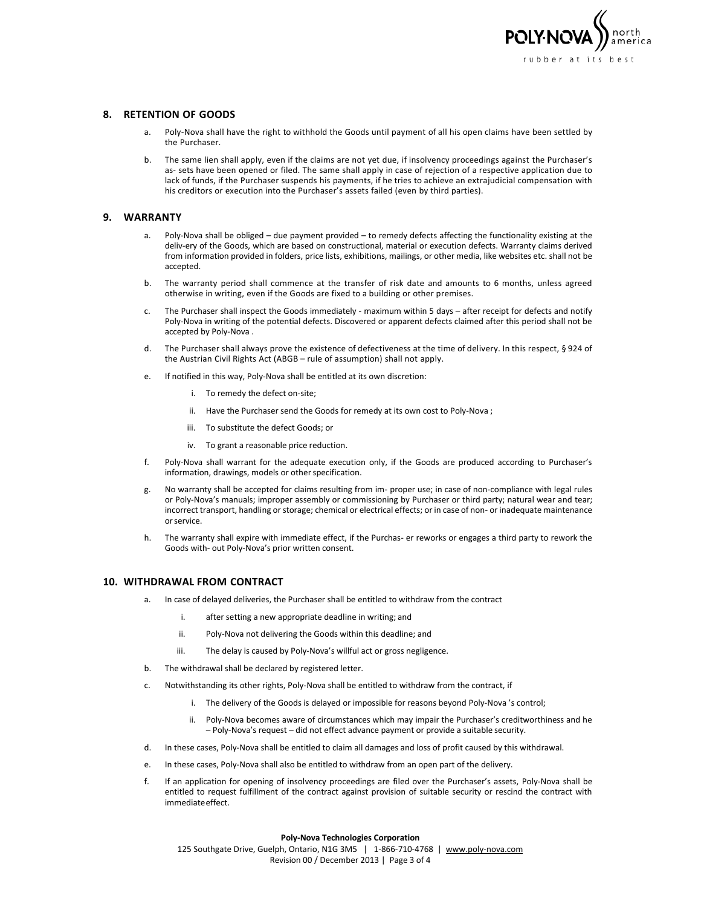

## **8. RETENTION OF GOODS**

- a. Poly-Nova shall have the right to withhold the Goods until payment of all his open claims have been settled by the Purchaser.
- b. The same lien shall apply, even if the claims are not yet due, if insolvency proceedings against the Purchaser's as- sets have been opened or filed. The same shall apply in case of rejection of a respective application due to lack of funds, if the Purchaser suspends his payments, if he tries to achieve an extrajudicial compensation with his creditors or execution into the Purchaser's assets failed (even by third parties).

# **9. WARRANTY**

- a. Poly-Nova shall be obliged due payment provided to remedy defects affecting the functionality existing at the deliv-ery of the Goods, which are based on constructional, material or execution defects. Warranty claims derived from information provided in folders, price lists, exhibitions, mailings, or other media, like websites etc. shall not be accepted.
- b. The warranty period shall commence at the transfer of risk date and amounts to 6 months, unless agreed otherwise in writing, even if the Goods are fixed to a building or other premises.
- c. The Purchaser shall inspect the Goods immediately maximum within 5 days after receipt for defects and notify Poly-Nova in writing of the potential defects. Discovered or apparent defects claimed after this period shall not be accepted by Poly-Nova .
- d. The Purchaser shall always prove the existence of defectiveness at the time of delivery. In this respect, § 924 of the Austrian Civil Rights Act (ABGB – rule of assumption) shall not apply.
- e. If notified in this way, Poly-Nova shall be entitled at its own discretion:
	- i. To remedy the defect on-site;
	- ii. Have the Purchaser send the Goods for remedy at its own cost to Poly-Nova ;
	- iii. To substitute the defect Goods; or
	- iv. To grant a reasonable price reduction.
- f. Poly-Nova shall warrant for the adequate execution only, if the Goods are produced according to Purchaser's information, drawings, models or other specification.
- g. No warranty shall be accepted for claims resulting from im- proper use; in case of non-compliance with legal rules or Poly-Nova's manuals; improper assembly or commissioning by Purchaser or third party; natural wear and tear; incorrect transport, handling or storage; chemical or electrical effects; or in case of non- or inadequate maintenance orservice.
- h. The warranty shall expire with immediate effect, if the Purchas- er reworks or engages a third party to rework the Goods with- out Poly-Nova's prior written consent.

#### **10. WITHDRAWAL FROM CONTRACT**

- a. In case of delayed deliveries, the Purchaser shall be entitled to withdraw from the contract
	- i. after setting a new appropriate deadline in writing; and
	- ii. Poly-Nova not delivering the Goods within this deadline; and
	- iii. The delay is caused by Poly-Nova's willful act or gross negligence.
- b. The withdrawal shall be declared by registered letter.
- c. Notwithstanding its other rights, Poly-Nova shall be entitled to withdraw from the contract, if
	- i. The delivery of the Goods is delayed or impossible for reasons beyond Poly-Nova 's control;
	- ii. Poly-Nova becomes aware of circumstances which may impair the Purchaser's creditworthiness and he – Poly-Nova's request – did not effect advance payment or provide a suitable security.
- d. In these cases, Poly-Nova shall be entitled to claim all damages and loss of profit caused by this withdrawal.
- e. In these cases, Poly-Nova shall also be entitled to withdraw from an open part of the delivery.
- f. If an application for opening of insolvency proceedings are filed over the Purchaser's assets, Poly-Nova shall be entitled to request fulfillment of the contract against provision of suitable security or rescind the contract with immediateeffect.